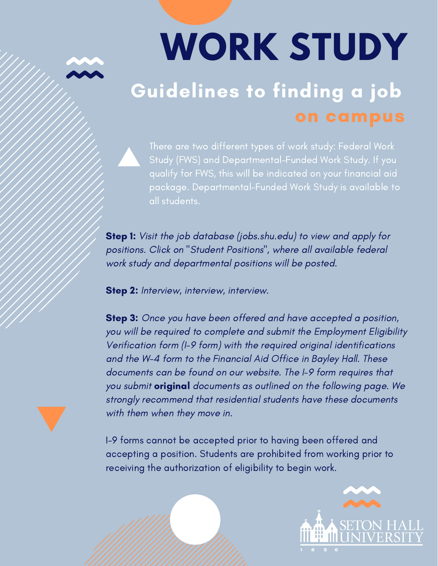## **WORK STUDY** Guidelines to finding a job on campus

There are two different types of work study: Federal Work Study (FWS) and Departmental-Funded Work Study. If you package. Departmental-Funded Work Study is available to all students.

**Step 1:** Visit the job database (jobs.shu.edu) to view and apply for positions. Click on "Student Positions", where all available federal work study and departmental positions will be posted.

Step 2: Interview, interview, interview.

**Step 3:** Once you have been offered and have accepted a position, you will be required to complete and submit the Employment Eligibility Verification form (I-9 form) with the required original identifications and the W-4 form to the Financial Aid Office in Bayley Hall. These documents can be found on our website. The I-9 form requires that you submit **original** documents as outlined on the following page. We strongly recommend that residential students have these documents with them when they move in.

I-9 forms cannot be accepted prior to having been offered and accepting a position. Students are prohibited from working prior to receiving the authorization of eligibility to begin work.

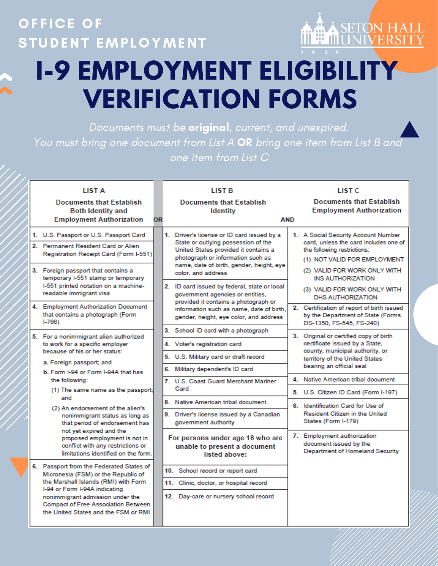### **OFFICE OF** STUDENT EMPLOYMENT



## **I-9 EMPLOYMENT ELIGIBILITY VERIFICATION FORMS**

Documents must be original, current, and unexpired. You must bring one document from List A OR bring one item from List B and one item from List C

|  | <b>LIST A</b><br><b>Documents that Establish</b><br><b>Both Identity and</b><br><b>Employment Authorization</b>                                                                                      | OR |                                                                                                                          | <b>LIST B</b><br><b>Documents that Establish</b><br><b>Identity</b><br><b>AND</b>                                                                                                                                                |                                                                                          | <b>LIST C</b><br><b>Documents that Establish</b><br><b>Employment Authorization</b>                                                                                                                     |
|--|------------------------------------------------------------------------------------------------------------------------------------------------------------------------------------------------------|----|--------------------------------------------------------------------------------------------------------------------------|----------------------------------------------------------------------------------------------------------------------------------------------------------------------------------------------------------------------------------|------------------------------------------------------------------------------------------|---------------------------------------------------------------------------------------------------------------------------------------------------------------------------------------------------------|
|  | 1. U.S. Passport or U.S. Passport Card<br>2. Permanent Resident Card or Alien<br>Registration Receipt Card (Form I-551)<br>3. Foreign passport that contains a<br>temporary I-551 stamp or temporary |    |                                                                                                                          | 1. Driver's license or ID card issued by a<br>State or outlying possession of the<br>United States provided it contains a<br>photograph or information such as<br>name, date of birth, gender, height, eye<br>color, and address |                                                                                          | 1. A Social Security Account Number<br>card, unless the card includes one of<br>the following restrictions:<br>(1) NOT VALID FOR EMPLOYMENT<br>(2) VALID FOR WORK ONLY WITH<br><b>INS AUTHORIZATION</b> |
|  | I-551 printed notation on a machine-<br>readable immigrant visa                                                                                                                                      |    | 2. ID card issued by federal, state or local<br>government agencies or entities,<br>provided it contains a photograph or |                                                                                                                                                                                                                                  | (3) VALID FOR WORK ONLY WITH<br><b>DHS AUTHORIZATION</b>                                 |                                                                                                                                                                                                         |
|  | 4. Employment Authorization Document<br>that contains a photograph (Form<br>$1 - 766$                                                                                                                |    |                                                                                                                          | information such as name, date of birth,<br>gender, height, eye color, and address                                                                                                                                               |                                                                                          | 2. Certification of report of birth issued<br>by the Department of State (Forms<br>DS-1350, FS-545, FS-240)                                                                                             |
|  | 5. For a nonimmigrant alien authorized                                                                                                                                                               |    |                                                                                                                          | 3. School ID card with a photograph                                                                                                                                                                                              |                                                                                          | 3. Original or certified copy of birth<br>certificate issued by a State,<br>county, municipal authority, or<br>territory of the United States<br>bearing an official seal                               |
|  | to work for a specific employer                                                                                                                                                                      |    |                                                                                                                          | 4. Voter's registration card                                                                                                                                                                                                     |                                                                                          |                                                                                                                                                                                                         |
|  | because of his or her status:<br>a. Foreign passport; and                                                                                                                                            |    | 5.                                                                                                                       | U.S. Military card or draft record                                                                                                                                                                                               |                                                                                          |                                                                                                                                                                                                         |
|  | b. Form I-94 or Form I-94A that has                                                                                                                                                                  |    |                                                                                                                          | 6. Military dependent's ID card                                                                                                                                                                                                  |                                                                                          |                                                                                                                                                                                                         |
|  | the following:                                                                                                                                                                                       |    |                                                                                                                          | 7. U.S. Coast Guard Merchant Mariner<br>Card                                                                                                                                                                                     |                                                                                          | 4. Native American tribal document                                                                                                                                                                      |
|  | (1) The same name as the passport;<br>and                                                                                                                                                            |    |                                                                                                                          |                                                                                                                                                                                                                                  |                                                                                          | 5. U.S. Citizen ID Card (Form I-197)                                                                                                                                                                    |
|  | (2) An endorsement of the alien's                                                                                                                                                                    |    |                                                                                                                          | 8. Native American tribal document                                                                                                                                                                                               |                                                                                          | 6. Identification Card for Use of<br>Resident Citizen in the United<br>States (Form I-179)                                                                                                              |
|  | nonimmigrant status as long as<br>that period of endorsement has                                                                                                                                     |    |                                                                                                                          | 9. Driver's license issued by a Canadian<br>government authority                                                                                                                                                                 |                                                                                          |                                                                                                                                                                                                         |
|  | not yet expired and the<br>proposed employment is not in<br>conflict with any restrictions or<br>limitations identified on the form.                                                                 |    | For persons under age 18 who are<br>unable to present a document<br>listed above:                                        |                                                                                                                                                                                                                                  | 7. Employment authorization<br>document issued by the<br>Department of Homeland Security |                                                                                                                                                                                                         |
|  | 6. Passport from the Federated States of<br>Micronesia (FSM) or the Republic of<br>the Marshall Islands (RMI) with Form                                                                              |    |                                                                                                                          | 10. School record or report card                                                                                                                                                                                                 |                                                                                          |                                                                                                                                                                                                         |
|  |                                                                                                                                                                                                      |    |                                                                                                                          | 11. Clinic, doctor, or hospital record                                                                                                                                                                                           |                                                                                          |                                                                                                                                                                                                         |
|  | I-94 or Form I-94A indicating<br>nonimmigrant admission under the<br><b>Compact of Free Association Between</b><br>the United States and the FSM or RMI                                              |    |                                                                                                                          | 12. Day-care or nursery school record                                                                                                                                                                                            |                                                                                          |                                                                                                                                                                                                         |
|  |                                                                                                                                                                                                      |    |                                                                                                                          |                                                                                                                                                                                                                                  |                                                                                          |                                                                                                                                                                                                         |